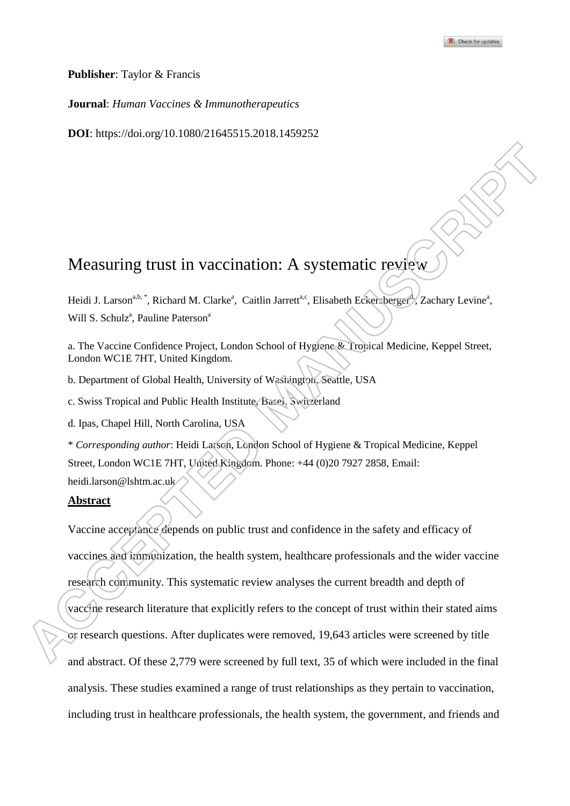**Publisher**: Taylor & Francis

**Journal**: *Human Vaccines & Immunotherapeutics*

**DOI**: https://doi.org/10.1080/21645515.2018.1459252

# Measuring trust in vaccination: A systematic review

Heidi J. Larson<sup>a,b,\*</sup>, Richard M. Clarke<sup>a</sup>, Caitlin Jarrett<sup>a,c</sup>, Elisabeth Eckersberger<sup>d</sup>, Zachary Levine<sup>a</sup>, Will S. Schulz<sup>a</sup>, Pauline Paterson<sup>a</sup>

a. The Vaccine Confidence Project, London School of Hygiene & Tropical Medicine, Keppel Street, London WC1E 7HT, United Kingdom.

b. Department of Global Health, University of Washington, Seattle, USA

c. Swiss Tropical and Public Health Institute, Basel, Switzerland

d. Ipas, Chapel Hill, North Carolina, USA

\* *Corresponding author*: Heidi Larson, London School of Hygiene & Tropical Medicine, Keppel Street, London WC1E 7HT, United Kingdom. Phone: +44 (0)20 7927 2858, Email:

heidi.larson@lshtm.ac.uk

## **Abstract**

Vaccine acceptance depends on public trust and confidence in the safety and efficacy of vaccines and immunization, the health system, healthcare professionals and the wider vaccine research community. This systematic review analyses the current breadth and depth of vaccine research literature that explicitly refers to the concept of trust within their stated aims or research questions. After duplicates were removed, 19,643 articles were screened by title and abstract. Of these 2,779 were screened by full text, 35 of which were included in the final analysis. These studies examined a range of trust relationships as they pertain to vaccination, including trust in healthcare professionals, the health system, the government, and friends and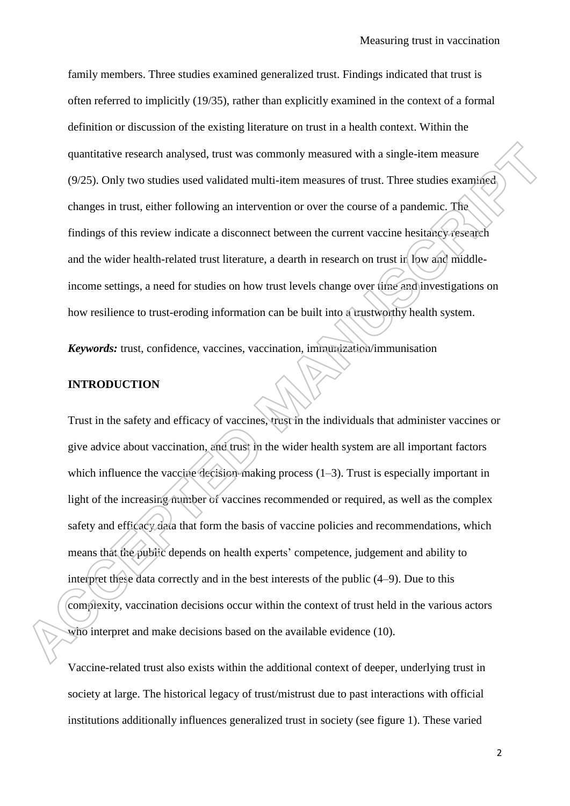family members. Three studies examined generalized trust. Findings indicated that trust is often referred to implicitly (19/35), rather than explicitly examined in the context of a formal definition or discussion of the existing literature on trust in a health context. Within the quantitative research analysed, trust was commonly measured with a single-item measure (9/25). Only two studies used validated multi-item measures of trust. Three studies examined changes in trust, either following an intervention or over the course of a pandemic. The findings of this review indicate a disconnect between the current vaccine hesitancy research and the wider health-related trust literature, a dearth in research on trust in low and middleincome settings, a need for studies on how trust levels change over time and investigations on how resilience to trust-eroding information can be built into a trustworthy health system.

*Keywords:* trust, confidence, vaccines, vaccination, immunization/immunisation

## **INTRODUCTION**

Trust in the safety and efficacy of vaccines, trust in the individuals that administer vaccines or give advice about vaccination, and trust in the wider health system are all important factors which influence the vaccine decision-making process (1–3). Trust is especially important in light of the increasing number of vaccines recommended or required, as well as the complex safety and efficacy data that form the basis of vaccine policies and recommendations, which means that the public depends on health experts" competence, judgement and ability to interpret these data correctly and in the best interests of the public (4–9). Due to this complexity, vaccination decisions occur within the context of trust held in the various actors who interpret and make decisions based on the available evidence (10).

Vaccine-related trust also exists within the additional context of deeper, underlying trust in society at large. The historical legacy of trust/mistrust due to past interactions with official institutions additionally influences generalized trust in society (see figure 1). These varied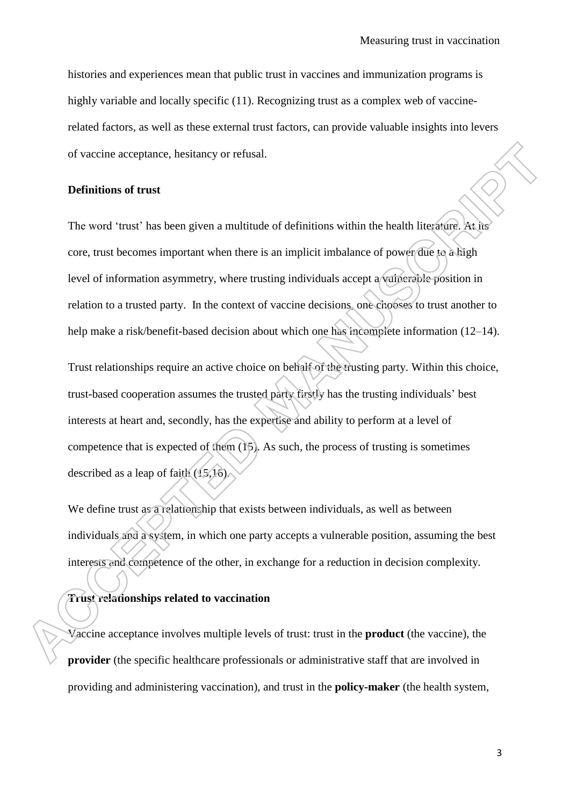histories and experiences mean that public trust in vaccines and immunization programs is highly variable and locally specific (11). Recognizing trust as a complex web of vaccinerelated factors, as well as these external trust factors, can provide valuable insights into levers of vaccine acceptance, hesitancy or refusal.

## **Definitions of trust**

The word 'trust' has been given a multitude of definitions within the health literature. At its core, trust becomes important when there is an implicit imbalance of power due to a high level of information asymmetry, where trusting individuals accept a vulnerable position in relation to a trusted party. In the context of vaccine decisions, one chooses to trust another to help make a risk/benefit-based decision about which one has incomplete information (12–14).

Trust relationships require an active choice on behalf of the trusting party. Within this choice, trust-based cooperation assumes the trusted party firstly has the trusting individuals" best interests at heart and, secondly, has the expertise and ability to perform at a level of competence that is expected of them (15). As such, the process of trusting is sometimes described as a leap of faith (15,16).

We define trust as a relationship that exists between individuals, as well as between individuals and a system, in which one party accepts a vulnerable position, assuming the best interests and competence of the other, in exchange for a reduction in decision complexity.

**Trust relationships related to vaccination**

Vaccine acceptance involves multiple levels of trust: trust in the **product** (the vaccine), the **provider** (the specific healthcare professionals or administrative staff that are involved in providing and administering vaccination), and trust in the **policy-maker** (the health system,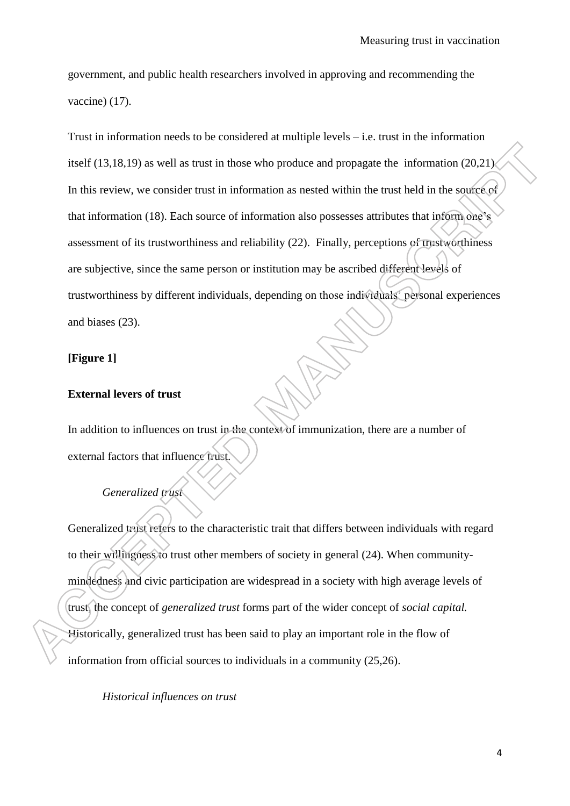government, and public health researchers involved in approving and recommending the vaccine) (17).

Trust in information needs to be considered at multiple levels – i.e. trust in the information itself (13,18,19) as well as trust in those who produce and propagate the information (20,21). In this review, we consider trust in information as nested within the trust held in the source of that information (18). Each source of information also possesses attributes that inform one"s assessment of its trustworthiness and reliability (22). Finally, perceptions of trustworthiness are subjective, since the same person or institution may be ascribed different levels of trustworthiness by different individuals, depending on those individuals" personal experiences and biases (23).

## **[Figure 1]**

## **External levers of trust**

In addition to influences on trust in the context of immunization, there are a number of external factors that influence trust.

#### *Generalized trust*

Generalized trust refers to the characteristic trait that differs between individuals with regard to their willingness to trust other members of society in general (24). When communitymindedness and civic participation are widespread in a society with high average levels of trust, the concept of *generalized trust* forms part of the wider concept of *social capital.*  Historically, generalized trust has been said to play an important role in the flow of information from official sources to individuals in a community (25,26).

*Historical influences on trust*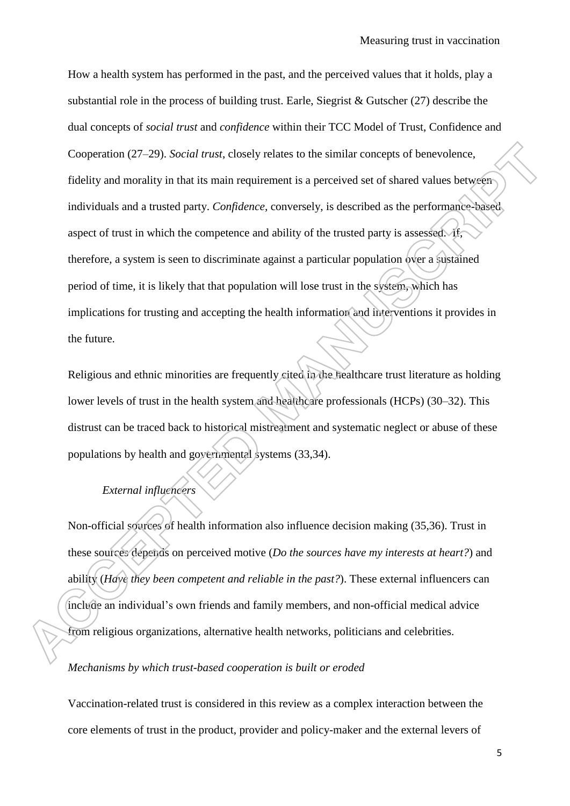How a health system has performed in the past, and the perceived values that it holds, play a substantial role in the process of building trust. Earle, Siegrist & Gutscher (27) describe the dual concepts of *social trust* and *confidence* within their TCC Model of Trust, Confidence and Cooperation (27–29). *Social trust*, closely relates to the similar concepts of benevolence, fidelity and morality in that its main requirement is a perceived set of shared values between individuals and a trusted party. *Confidence,* conversely, is described as the performance-based aspect of trust in which the competence and ability of the trusted party is assessed. If, therefore, a system is seen to discriminate against a particular population over a sustained period of time, it is likely that that population will lose trust in the system, which has implications for trusting and accepting the health information and interventions it provides in the future.

Religious and ethnic minorities are frequently cited in the healthcare trust literature as holding lower levels of trust in the health system and healthcare professionals (HCPs) (30–32). This distrust can be traced back to historical mistreatment and systematic neglect or abuse of these populations by health and governmental systems (33,34).

# *External influencers*

Non-official sources of health information also influence decision making (35,36). Trust in these sources depends on perceived motive (*Do the sources have my interests at heart?*) and ability (*Have they been competent and reliable in the past?*). These external influencers can include an individual's own friends and family members, and non-official medical advice from religious organizations, alternative health networks, politicians and celebrities.

#### *Mechanisms by which trust-based cooperation is built or eroded*

Vaccination-related trust is considered in this review as a complex interaction between the core elements of trust in the product, provider and policy-maker and the external levers of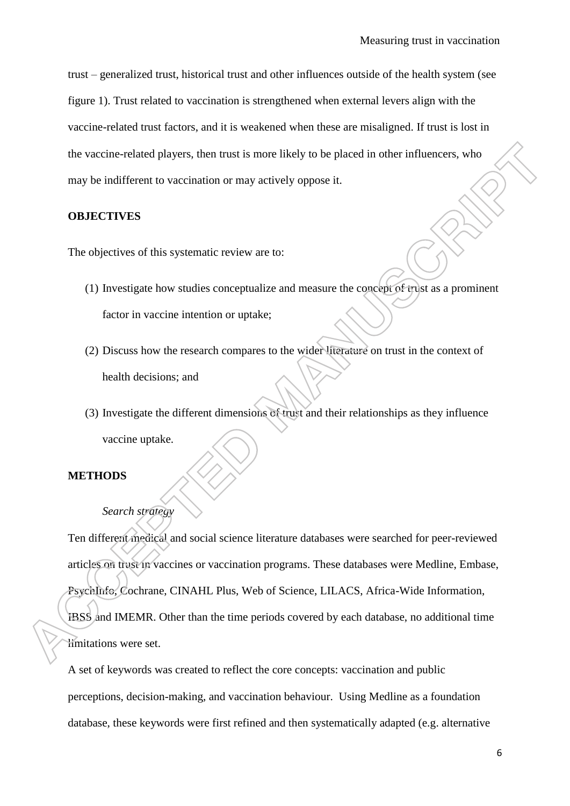trust – generalized trust, historical trust and other influences outside of the health system (see figure 1). Trust related to vaccination is strengthened when external levers align with the vaccine-related trust factors, and it is weakened when these are misaligned. If trust is lost in the vaccine-related players, then trust is more likely to be placed in other influencers, who may be indifferent to vaccination or may actively oppose it.

## **OBJECTIVES**

The objectives of this systematic review are to:

- (1) Investigate how studies conceptualize and measure the concept of trust as a prominent factor in vaccine intention or uptake;
- (2) Discuss how the research compares to the wider literature on trust in the context of health decisions; and
- (3) Investigate the different dimensions of trust and their relationships as they influence vaccine uptake.

#### **METHODS**

#### *Search strategy*

Ten different medical and social science literature databases were searched for peer-reviewed articles on trust in vaccines or vaccination programs. These databases were Medline, Embase, PsychInfo, Cochrane, CINAHL Plus, Web of Science, LILACS, Africa-Wide Information, IBSS and IMEMR. Other than the time periods covered by each database, no additional time

limitations were set.

A set of keywords was created to reflect the core concepts: vaccination and public perceptions, decision-making, and vaccination behaviour. Using Medline as a foundation database, these keywords were first refined and then systematically adapted (e.g. alternative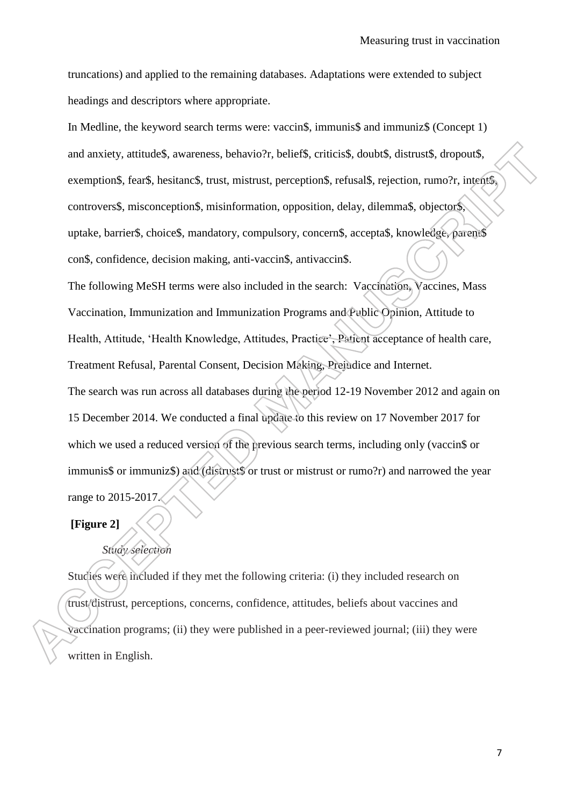truncations) and applied to the remaining databases. Adaptations were extended to subject headings and descriptors where appropriate.

In Medline, the keyword search terms were: vaccin\$, immunis\$ and immuniz\$ (Concept 1) and anxiety, attitude\$, awareness, behavio?r, belief\$, criticis\$, doubt\$, distrust\$, dropout\$, exemption\$, fear\$, hesitanc\$, trust, mistrust, perception\$, refusal\$, rejection, rumo?r, intent\$, controvers\$, misconception\$, misinformation, opposition, delay, dilemma\$, objector\$, uptake, barrier\$, choice\$, mandatory, compulsory, concern\$, accepta\$, knowledge, parent\$ con\$, confidence, decision making, anti-vaccin\$, antivaccin\$.

The following MeSH terms were also included in the search: Vaccination, Vaccines, Mass Vaccination, Immunization and Immunization Programs and Public Opinion, Attitude to Health, Attitude, "Health Knowledge, Attitudes, Practice", Patient acceptance of health care, Treatment Refusal, Parental Consent, Decision Making, Prejudice and Internet. The search was run across all databases during the period 12-19 November 2012 and again on

15 December 2014. We conducted a final update to this review on 17 November 2017 for which we used a reduced version of the previous search terms, including only (vaccin\$ or immunis\$ or immuniz\$) and (distrust\$ or trust or mistrust or rumo?r) and narrowed the year range to 2015-2017.

# **[Figure 2]**

# *Study selection*

Studies were included if they met the following criteria: (i) they included research on trust/distrust, perceptions, concerns, confidence, attitudes, beliefs about vaccines and vaccination programs; (ii) they were published in a peer-reviewed journal; (iii) they were written in English.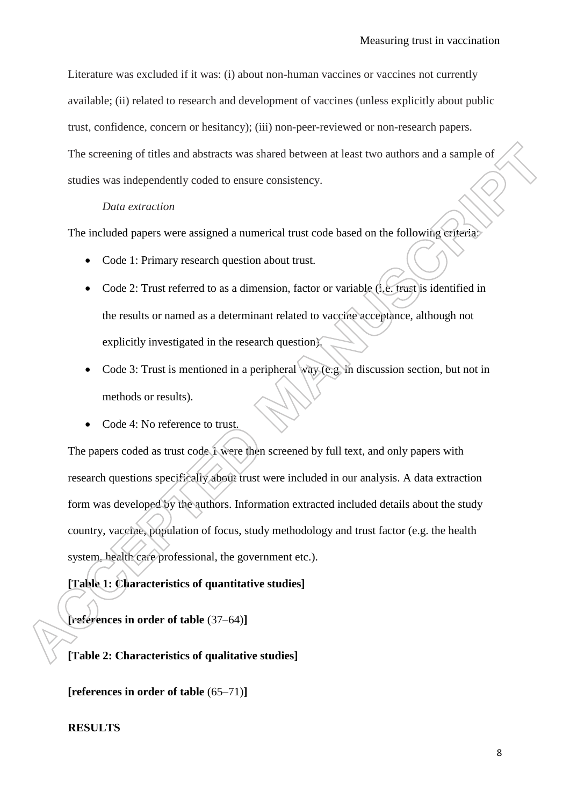Literature was excluded if it was: (i) about non-human vaccines or vaccines not currently available; (ii) related to research and development of vaccines (unless explicitly about public trust, confidence, concern or hesitancy); (iii) non-peer-reviewed or non-research papers. The screening of titles and abstracts was shared between at least two authors and a sample of studies was independently coded to ensure consistency.

# *Data extraction*

The included papers were assigned a numerical trust code based on the following criteria:

- Code 1: Primary research question about trust.
- Code 2: Trust referred to as a dimension, factor or variable (i.e. trust is identified in the results or named as a determinant related to vaccine acceptance, although not explicitly investigated in the research question).
- Code 3: Trust is mentioned in a peripheral way (e.g. in discussion section, but not in methods or results).
- Code 4: No reference to trust.

The papers coded as trust code 1 were then screened by full text, and only papers with research questions specifically about trust were included in our analysis. A data extraction form was developed by the authors. Information extracted included details about the study country, vaccine, population of focus, study methodology and trust factor (e.g. the health system, health care professional, the government etc.).

**[Table 1: Characteristics of quantitative studies]**

**[references in order of table** (37–64)**]**

## **[Table 2: Characteristics of qualitative studies]**

**[references in order of table** (65–71)**]**

## **RESULTS**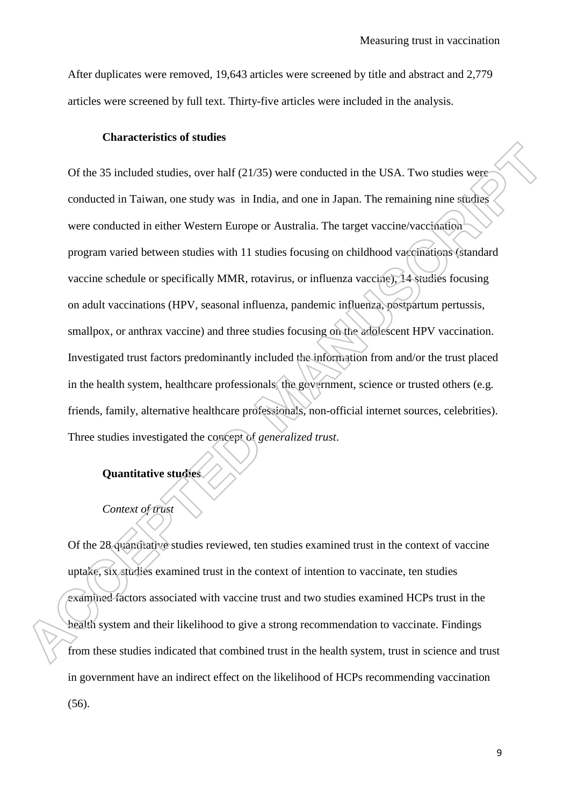After duplicates were removed, 19,643 articles were screened by title and abstract and 2,779 articles were screened by full text. Thirty-five articles were included in the analysis.

#### **Characteristics of studies**

Of the 35 included studies, over half (21/35) were conducted in the USA. Two studies were conducted in Taiwan, one study was in India, and one in Japan. The remaining nine studies were conducted in either Western Europe or Australia. The target vaccine/vaccination program varied between studies with 11 studies focusing on childhood vaccinations (standard vaccine schedule or specifically MMR, rotavirus, or influenza vaccine), 14 studies focusing on adult vaccinations (HPV, seasonal influenza, pandemic influenza, postpartum pertussis, smallpox, or anthrax vaccine) and three studies focusing on the adolescent HPV vaccination. Investigated trust factors predominantly included the information from and/or the trust placed in the health system, healthcare professionals, the government, science or trusted others (e.g. friends, family, alternative healthcare professionals, non-official internet sources, celebrities). Three studies investigated the concept of *generalized trust*.

## **Quantitative studies**

## *Context of trust*

Of the 28 quantitative studies reviewed, ten studies examined trust in the context of vaccine uptake, six studies examined trust in the context of intention to vaccinate, ten studies examined factors associated with vaccine trust and two studies examined HCPs trust in the health system and their likelihood to give a strong recommendation to vaccinate. Findings from these studies indicated that combined trust in the health system, trust in science and trust in government have an indirect effect on the likelihood of HCPs recommending vaccination (56).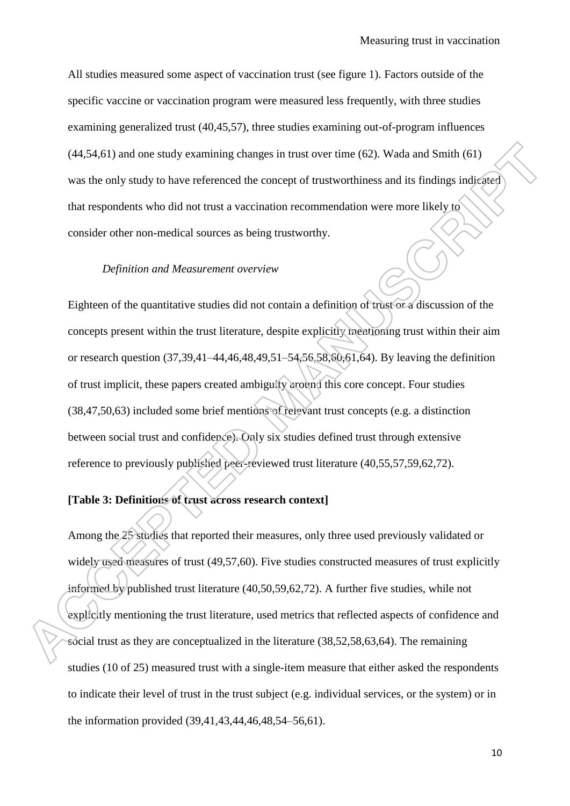All studies measured some aspect of vaccination trust (see figure 1). Factors outside of the specific vaccine or vaccination program were measured less frequently, with three studies examining generalized trust (40,45,57), three studies examining out-of-program influences (44,54,61) and one study examining changes in trust over time (62). Wada and Smith (61) was the only study to have referenced the concept of trustworthiness and its findings indicated that respondents who did not trust a vaccination recommendation were more likely to consider other non-medical sources as being trustworthy.

## *Definition and Measurement overview*

Eighteen of the quantitative studies did not contain a definition of trust or a discussion of the concepts present within the trust literature, despite explicitly mentioning trust within their aim or research question (37,39,41–44,46,48,49,51–54,56,58,60,61,64). By leaving the definition of trust implicit, these papers created ambiguity around this core concept. Four studies (38,47,50,63) included some brief mentions of relevant trust concepts (e.g. a distinction between social trust and confidence). Only six studies defined trust through extensive reference to previously published peer-reviewed trust literature (40,55,57,59,62,72).

## **[Table 3: Definitions of trust across research context]**

Among the 25 studies that reported their measures, only three used previously validated or widely used measures of trust (49,57,60). Five studies constructed measures of trust explicitly informed by published trust literature (40,50,59,62,72). A further five studies, while not explicitly mentioning the trust literature, used metrics that reflected aspects of confidence and social trust as they are conceptualized in the literature (38,52,58,63,64). The remaining studies (10 of 25) measured trust with a single-item measure that either asked the respondents to indicate their level of trust in the trust subject (e.g. individual services, or the system) or in the information provided (39,41,43,44,46,48,54–56,61).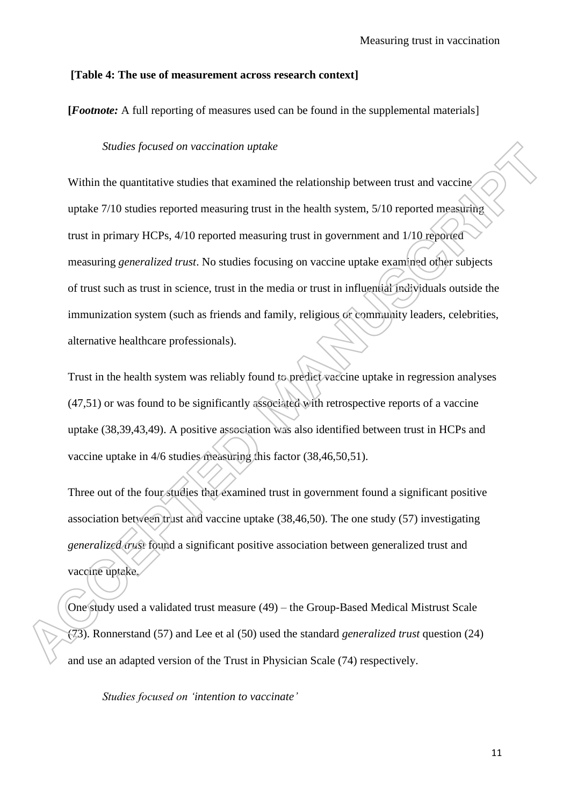#### **[Table 4: The use of measurement across research context]**

**[***Footnote:* A full reporting of measures used can be found in the supplemental materials]

#### *Studies focused on vaccination uptake*

Within the quantitative studies that examined the relationship between trust and vaccine uptake 7/10 studies reported measuring trust in the health system, 5/10 reported measuring trust in primary HCPs, 4/10 reported measuring trust in government and 1/10 reported measuring *generalized trust*. No studies focusing on vaccine uptake examined other subjects of trust such as trust in science, trust in the media or trust in influential individuals outside the immunization system (such as friends and family, religious or community leaders, celebrities, alternative healthcare professionals).

Trust in the health system was reliably found to predict vaccine uptake in regression analyses (47,51) or was found to be significantly associated with retrospective reports of a vaccine uptake (38,39,43,49). A positive association was also identified between trust in HCPs and vaccine uptake in 4/6 studies measuring this factor (38,46,50,51).

Three out of the four studies that examined trust in government found a significant positive association between trust and vaccine uptake (38,46,50). The one study (57) investigating *generalized trust* found a significant positive association between generalized trust and vaccine uptake.

One study used a validated trust measure (49) – the Group-Based Medical Mistrust Scale (73). Ronnerstand (57) and Lee et al (50) used the standard *generalized trust* question (24) and use an adapted version of the Trust in Physician Scale (74) respectively.

*Studies focused on 'intention to vaccinate'*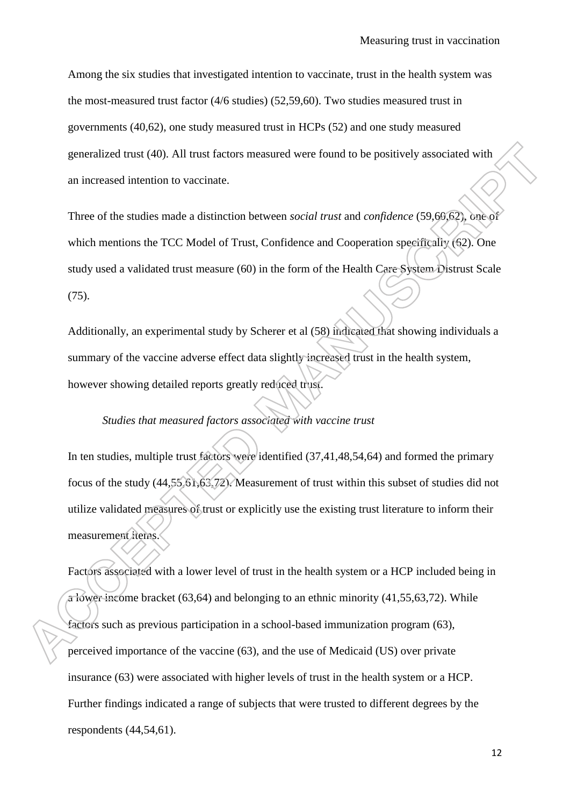Among the six studies that investigated intention to vaccinate, trust in the health system was the most-measured trust factor (4/6 studies) (52,59,60). Two studies measured trust in governments (40,62), one study measured trust in HCPs (52) and one study measured generalized trust (40). All trust factors measured were found to be positively associated with an increased intention to vaccinate.

Three of the studies made a distinction between *social trust* and *confidence* (59,60,62), one of which mentions the TCC Model of Trust, Confidence and Cooperation specifically (62). One study used a validated trust measure (60) in the form of the Health Care System Distrust Scale (75).

Additionally, an experimental study by Scherer et al (58) indicated that showing individuals a summary of the vaccine adverse effect data slightly increased trust in the health system, however showing detailed reports greatly reduced trust.

## *Studies that measured factors associated with vaccine trust*

In ten studies, multiple trust factors were identified (37,41,48,54,64) and formed the primary focus of the study (44,55,61,63,72). Measurement of trust within this subset of studies did not utilize validated measures of trust or explicitly use the existing trust literature to inform their measurement items.

Factors associated with a lower level of trust in the health system or a HCP included being in a lower income bracket (63,64) and belonging to an ethnic minority (41,55,63,72). While factors such as previous participation in a school-based immunization program (63), perceived importance of the vaccine (63), and the use of Medicaid (US) over private insurance (63) were associated with higher levels of trust in the health system or a HCP. Further findings indicated a range of subjects that were trusted to different degrees by the respondents (44,54,61).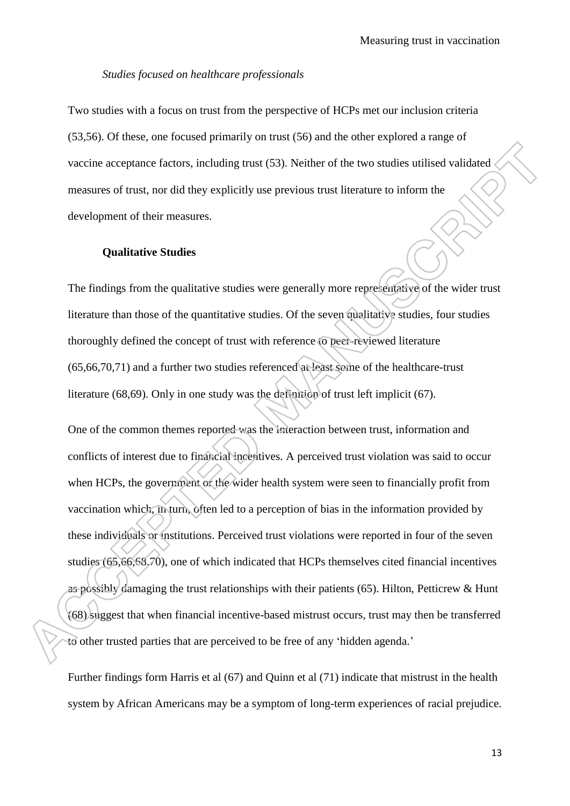#### *Studies focused on healthcare professionals*

Two studies with a focus on trust from the perspective of HCPs met our inclusion criteria (53,56). Of these, one focused primarily on trust (56) and the other explored a range of vaccine acceptance factors, including trust (53). Neither of the two studies utilised validated measures of trust, nor did they explicitly use previous trust literature to inform the development of their measures.

#### **Qualitative Studies**

The findings from the qualitative studies were generally more representative of the wider trust literature than those of the quantitative studies. Of the seven qualitative studies, four studies thoroughly defined the concept of trust with reference to peer-reviewed literature (65,66,70,71) and a further two studies referenced at least some of the healthcare-trust literature (68,69). Only in one study was the definition of trust left implicit (67).

One of the common themes reported was the interaction between trust, information and conflicts of interest due to financial incentives. A perceived trust violation was said to occur when HCPs, the government or the wider health system were seen to financially profit from vaccination which, in turn, often led to a perception of bias in the information provided by these individuals or institutions. Perceived trust violations were reported in four of the seven studies (65,66,68,70), one of which indicated that HCPs themselves cited financial incentives as possibly damaging the trust relationships with their patients (65). Hilton, Petticrew & Hunt (68) suggest that when financial incentive-based mistrust occurs, trust may then be transferred to other trusted parties that are perceived to be free of any "hidden agenda."

Further findings form Harris et al (67) and Quinn et al (71) indicate that mistrust in the health system by African Americans may be a symptom of long-term experiences of racial prejudice.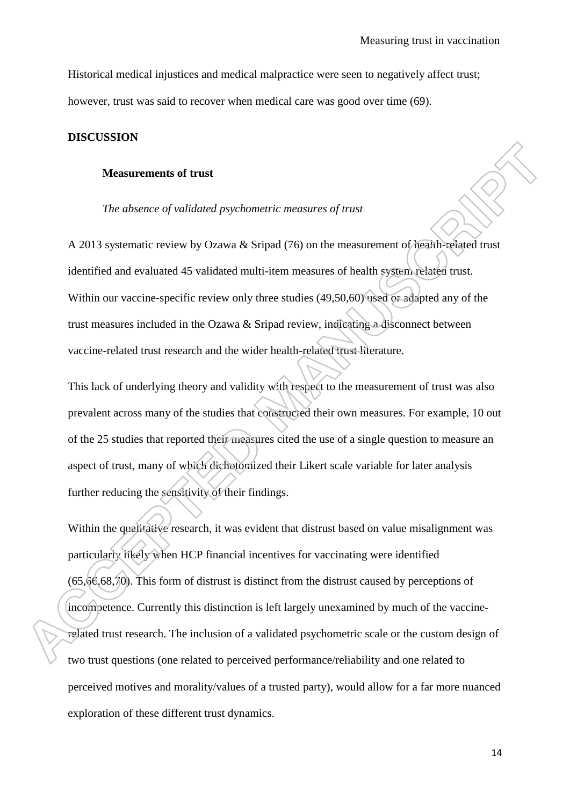Historical medical injustices and medical malpractice were seen to negatively affect trust; however, trust was said to recover when medical care was good over time (69).

#### **DISCUSSION**

#### **Measurements of trust**

## *The absence of validated psychometric measures of trust*

A 2013 systematic review by Ozawa & Sripad (76) on the measurement of health-related trust identified and evaluated 45 validated multi-item measures of health system related trust. Within our vaccine-specific review only three studies (49,50,60) used or adapted any of the trust measures included in the Ozawa & Sripad review, indicating a disconnect between vaccine-related trust research and the wider health-related trust literature.

This lack of underlying theory and validity with respect to the measurement of trust was also prevalent across many of the studies that constructed their own measures. For example, 10 out of the 25 studies that reported their measures cited the use of a single question to measure an aspect of trust, many of which dichotomized their Likert scale variable for later analysis further reducing the sensitivity of their findings.

Within the qualitative research, it was evident that distrust based on value misalignment was particularly likely when HCP financial incentives for vaccinating were identified (65,66,68,70). This form of distrust is distinct from the distrust caused by perceptions of incompetence. Currently this distinction is left largely unexamined by much of the vaccinerelated trust research. The inclusion of a validated psychometric scale or the custom design of two trust questions (one related to perceived performance/reliability and one related to perceived motives and morality/values of a trusted party), would allow for a far more nuanced exploration of these different trust dynamics.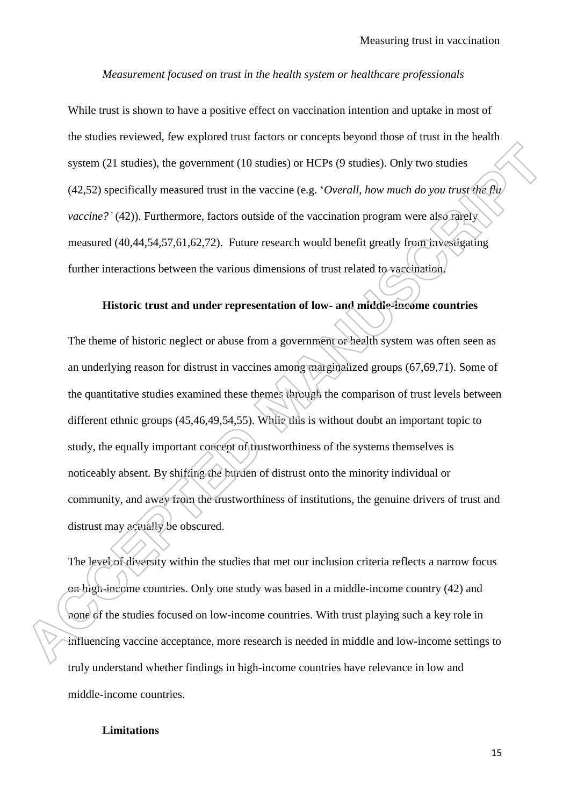#### *Measurement focused on trust in the health system or healthcare professionals*

While trust is shown to have a positive effect on vaccination intention and uptake in most of the studies reviewed, few explored trust factors or concepts beyond those of trust in the health system (21 studies), the government (10 studies) or HCPs (9 studies). Only two studies (42,52) specifically measured trust in the vaccine (e.g. "*Overall, how much do you trust the flu vaccine?'* (42)). Furthermore, factors outside of the vaccination program were also rarely measured (40,44,54,57,61,62,72). Future research would benefit greatly from investigating further interactions between the various dimensions of trust related to vaccination.

#### **Historic trust and under representation of low- and middle-income countries**

The theme of historic neglect or abuse from a government or health system was often seen as an underlying reason for distrust in vaccines among marginalized groups (67,69,71). Some of the quantitative studies examined these themes through the comparison of trust levels between different ethnic groups (45,46,49,54,55). While this is without doubt an important topic to study, the equally important concept of trustworthiness of the systems themselves is noticeably absent. By shifting the burden of distrust onto the minority individual or community, and away from the trustworthiness of institutions, the genuine drivers of trust and distrust may actually be obscured.

The level of diversity within the studies that met our inclusion criteria reflects a narrow focus on high-income countries. Only one study was based in a middle-income country (42) and none of the studies focused on low-income countries. With trust playing such a key role in influencing vaccine acceptance, more research is needed in middle and low-income settings to truly understand whether findings in high-income countries have relevance in low and middle-income countries.

## **Limitations**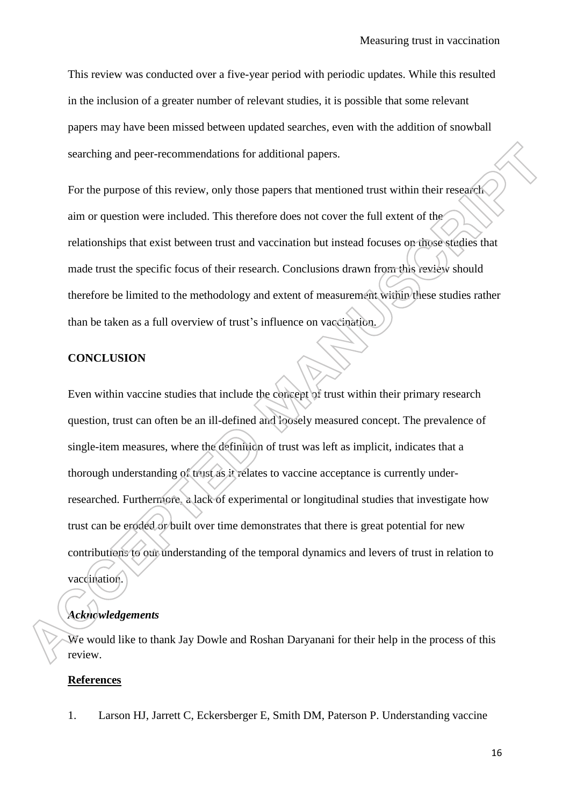This review was conducted over a five-year period with periodic updates. While this resulted in the inclusion of a greater number of relevant studies, it is possible that some relevant papers may have been missed between updated searches, even with the addition of snowball searching and peer-recommendations for additional papers.

For the purpose of this review, only those papers that mentioned trust within their research aim or question were included. This therefore does not cover the full extent of the relationships that exist between trust and vaccination but instead focuses on those studies that made trust the specific focus of their research. Conclusions drawn from this review should therefore be limited to the methodology and extent of measurement within these studies rather than be taken as a full overview of trust"s influence on vaccination.

#### **CONCLUSION**

Even within vaccine studies that include the concept of trust within their primary research question, trust can often be an ill-defined and loosely measured concept. The prevalence of single-item measures, where the definition of trust was left as implicit, indicates that a thorough understanding of trust as it relates to vaccine acceptance is currently underresearched. Furthermore, a lack of experimental or longitudinal studies that investigate how trust can be eroded or built over time demonstrates that there is great potential for new contributions to our understanding of the temporal dynamics and levers of trust in relation to vaccination.

# *Acknowledgements*

We would like to thank Jay Dowle and Roshan Daryanani for their help in the process of this review.

#### **References**

1. Larson HJ, Jarrett C, Eckersberger E, Smith DM, Paterson P. Understanding vaccine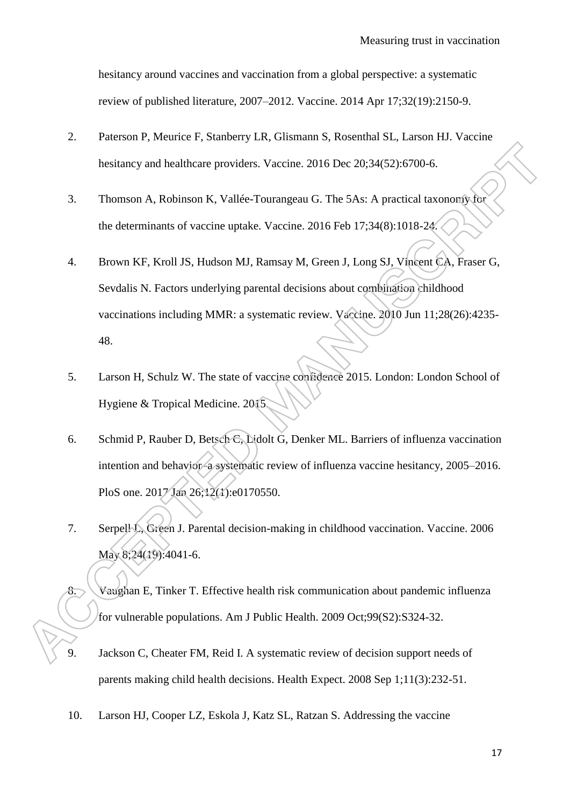hesitancy around vaccines and vaccination from a global perspective: a systematic review of published literature, 2007–2012. Vaccine. 2014 Apr 17;32(19):2150-9.

- 2. Paterson P, Meurice F, Stanberry LR, Glismann S, Rosenthal SL, Larson HJ. Vaccine hesitancy and healthcare providers. Vaccine. 2016 Dec 20;34(52):6700-6.
- 3. Thomson A, Robinson K, Vallée-Tourangeau G. The 5As: A practical taxonomy for the determinants of vaccine uptake. Vaccine. 2016 Feb 17;34(8):1018-24.
- 4. Brown KF, Kroll JS, Hudson MJ, Ramsay M, Green J, Long SJ, Vincent CA, Fraser G, Sevdalis N. Factors underlying parental decisions about combination childhood vaccinations including MMR: a systematic review. Vaccine. 2010 Jun 11;28(26):4235- 48.
- 5. Larson H, Schulz W. The state of vaccine confidence 2015. London: London School of Hygiene & Tropical Medicine. 2015.
- 6. Schmid P, Rauber D, Betsch C, Lidolt G, Denker ML. Barriers of influenza vaccination intention and behavior–a systematic review of influenza vaccine hesitancy, 2005–2016. PloS one. 2017 Jan 26;12(1):e0170550.
- 7. Serpell L, Green J. Parental decision-making in childhood vaccination. Vaccine. 2006 May 8;24(19):4041-6.
- 8. Vaughan E, Tinker T. Effective health risk communication about pandemic influenza for vulnerable populations. Am J Public Health. 2009 Oct;99(S2):S324-32.
- 9. Jackson C, Cheater FM, Reid I. A systematic review of decision support needs of parents making child health decisions. Health Expect. 2008 Sep 1;11(3):232-51.
- 10. Larson HJ, Cooper LZ, Eskola J, Katz SL, Ratzan S. Addressing the vaccine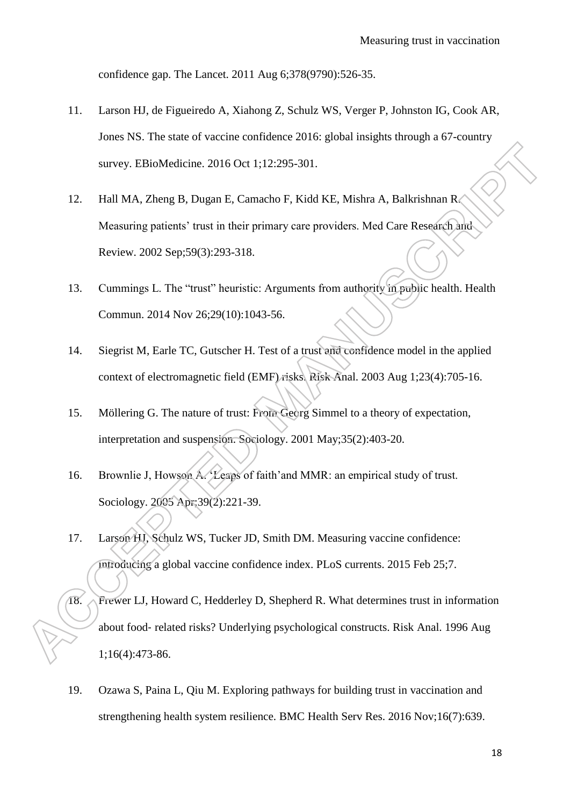confidence gap. The Lancet. 2011 Aug 6;378(9790):526-35.

- 11. Larson HJ, de Figueiredo A, Xiahong Z, Schulz WS, Verger P, Johnston IG, Cook AR, Jones NS. The state of vaccine confidence 2016: global insights through a 67-country survey. EBioMedicine. 2016 Oct 1;12:295-301.
- 12. Hall MA, Zheng B, Dugan E, Camacho F, Kidd KE, Mishra A, Balkrishnan R. Measuring patients' trust in their primary care providers. Med Care Research and Review. 2002 Sep;59(3):293-318.
- 13. Cummings L. The "trust" heuristic: Arguments from authority in public health. Health Commun. 2014 Nov 26;29(10):1043-56.
- 14. Siegrist M, Earle TC, Gutscher H. Test of a trust and confidence model in the applied context of electromagnetic field (EMF) risks. Risk Anal. 2003 Aug 1;23(4):705-16.
- 15. Möllering G. The nature of trust: From Georg Simmel to a theory of expectation, interpretation and suspension. Sociology. 2001 May;35(2):403-20.
- 16. Brownlie J, Howson A. 'Leaps of faith' and MMR: an empirical study of trust. Sociology. 2005 Apr;39(2):221-39.
- 17. Larson HJ, Schulz WS, Tucker JD, Smith DM. Measuring vaccine confidence: introducing a global vaccine confidence index. PLoS currents. 2015 Feb 25;7.
- 18. Frewer LJ, Howard C, Hedderley D, Shepherd R. What determines trust in information about food‐ related risks? Underlying psychological constructs. Risk Anal. 1996 Aug 1;16(4):473-86.
- 19. Ozawa S, Paina L, Qiu M. Exploring pathways for building trust in vaccination and strengthening health system resilience. BMC Health Serv Res. 2016 Nov;16(7):639.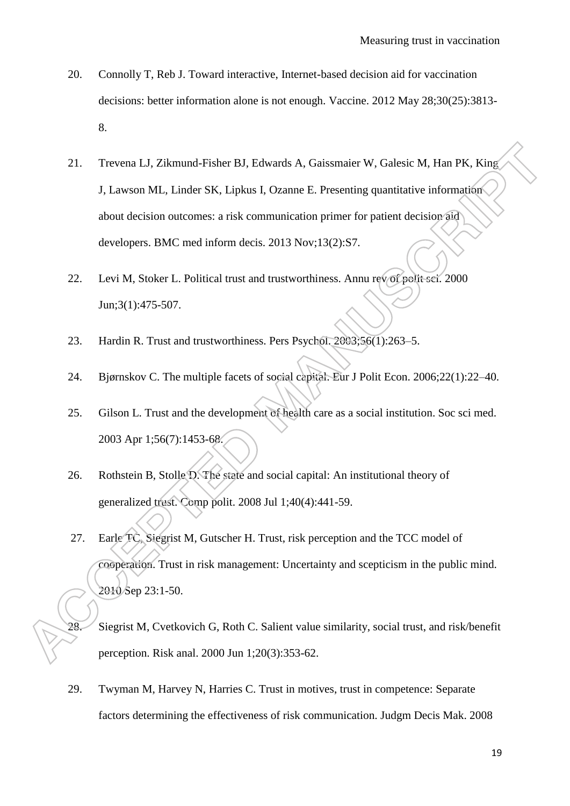- 20. Connolly T, Reb J. Toward interactive, Internet-based decision aid for vaccination decisions: better information alone is not enough. Vaccine. 2012 May 28;30(25):3813- 8.
- 21. Trevena LJ, Zikmund-Fisher BJ, Edwards A, Gaissmaier W, Galesic M, Han PK, King J, Lawson ML, Linder SK, Lipkus I, Ozanne E. Presenting quantitative information about decision outcomes: a risk communication primer for patient decision aid developers. BMC med inform decis. 2013 Nov;13(2):S7.
- 22. Levi M, Stoker L. Political trust and trustworthiness. Annu rev of polit sci. 2000 Jun;3(1):475-507.
- 23. Hardin R. Trust and trustworthiness. Pers Psychol. 2003;56(1):263–5.
- 24. Bjørnskov C. The multiple facets of social capital. Eur J Polit Econ. 2006;22(1):22–40.
- 25. Gilson L. Trust and the development of health care as a social institution. Soc sci med. 2003 Apr 1;56(7):1453-68.
- 26. Rothstein B, Stolle D. The state and social capital: An institutional theory of generalized trust. Comp polit. 2008 Jul 1;40(4):441-59.
- 27. Earle TC, Siegrist M, Gutscher H. Trust, risk perception and the TCC model of cooperation. Trust in risk management: Uncertainty and scepticism in the public mind. 2010 Sep 23:1-50.
	- 28. Siegrist M, Cvetkovich G, Roth C. Salient value similarity, social trust, and risk/benefit perception. Risk anal. 2000 Jun 1;20(3):353-62.
- 29. Twyman M, Harvey N, Harries C. Trust in motives, trust in competence: Separate factors determining the effectiveness of risk communication. Judgm Decis Mak. 2008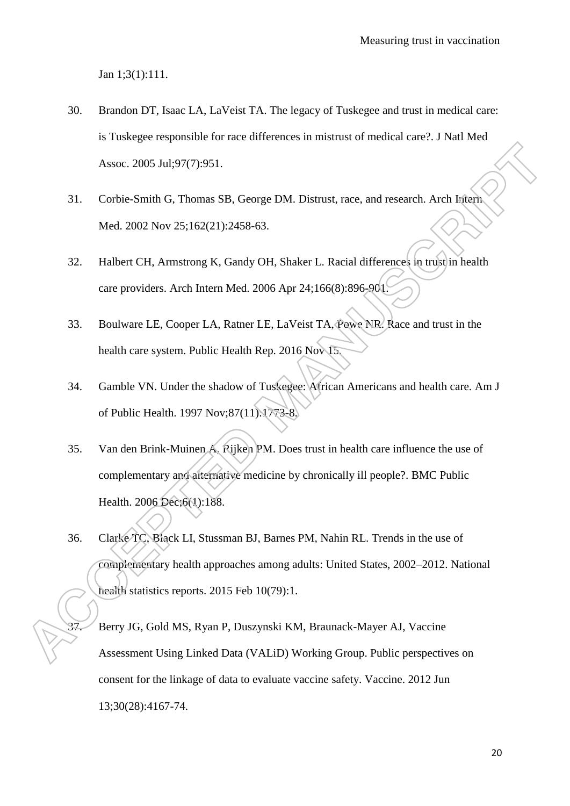Jan 1;3(1):111.

- 30. Brandon DT, Isaac LA, LaVeist TA. The legacy of Tuskegee and trust in medical care: is Tuskegee responsible for race differences in mistrust of medical care?. J Natl Med Assoc. 2005 Jul;97(7):951.
- 31. Corbie-Smith G, Thomas SB, George DM. Distrust, race, and research. Arch Intern Med. 2002 Nov 25;162(21):2458-63.
- 32. Halbert CH, Armstrong K, Gandy OH, Shaker L. Racial differences in trust in health care providers. Arch Intern Med. 2006 Apr 24;166(8):896-901.
- 33. Boulware LE, Cooper LA, Ratner LE, LaVeist TA, Powe NR. Race and trust in the health care system. Public Health Rep. 2016 Nov 15.
- 34. Gamble VN. Under the shadow of Tuskegee: African Americans and health care. Am J of Public Health. 1997 Nov;87(11):1773-8.
- 35. Van den Brink-Muinen A, Rijken PM. Does trust in health care influence the use of complementary and alternative medicine by chronically ill people?. BMC Public Health. 2006 Dec;6(1):188.
- 36. Clarke TC, Black LI, Stussman BJ, Barnes PM, Nahin RL. Trends in the use of complementary health approaches among adults: United States, 2002–2012. National health statistics reports. 2015 Feb 10(79):1.
	- 37. Berry JG, Gold MS, Ryan P, Duszynski KM, Braunack-Mayer AJ, Vaccine Assessment Using Linked Data (VALiD) Working Group. Public perspectives on consent for the linkage of data to evaluate vaccine safety. Vaccine. 2012 Jun 13;30(28):4167-74.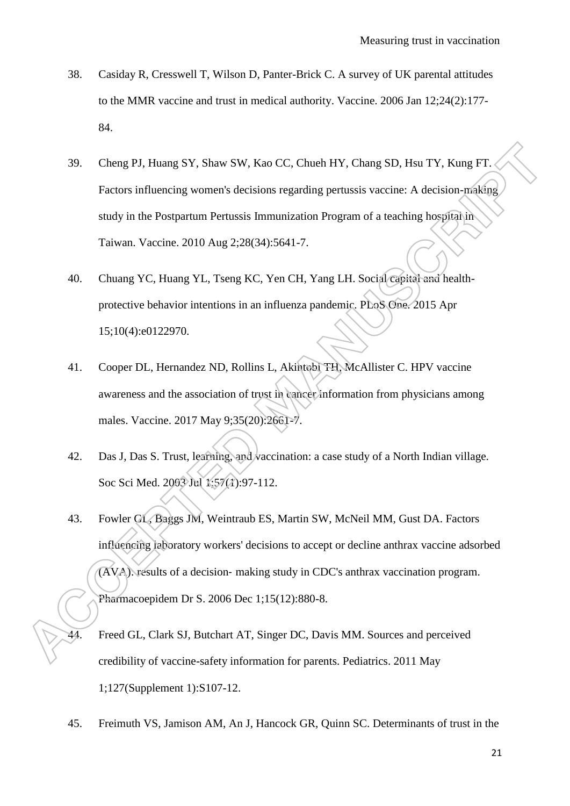- 38. Casiday R, Cresswell T, Wilson D, Panter-Brick C. A survey of UK parental attitudes to the MMR vaccine and trust in medical authority. Vaccine. 2006 Jan 12;24(2):177- 84.
- 39. Cheng PJ, Huang SY, Shaw SW, Kao CC, Chueh HY, Chang SD, Hsu TY, Kung FT. Factors influencing women's decisions regarding pertussis vaccine: A decision-making study in the Postpartum Pertussis Immunization Program of a teaching hospital in Taiwan. Vaccine. 2010 Aug 2;28(34):5641-7.
- 40. Chuang YC, Huang YL, Tseng KC, Yen CH, Yang LH. Social capital and healthprotective behavior intentions in an influenza pandemic. PLoS One. 2015 Apr 15;10(4):e0122970.
- 41. Cooper DL, Hernandez ND, Rollins L, Akintobi TH, McAllister C. HPV vaccine awareness and the association of trust in cancer information from physicians among males. Vaccine. 2017 May 9;35(20):2661-7.
- 42. Das J, Das S. Trust, learning, and vaccination: a case study of a North Indian village. Soc Sci Med. 2003 Jul 1:57(1):97-112.
- 43. Fowler GL, Baggs JM, Weintraub ES, Martin SW, McNeil MM, Gust DA. Factors influencing laboratory workers' decisions to accept or decline anthrax vaccine adsorbed (AVA): results of a decision‐ making study in CDC's anthrax vaccination program. Pharmacoepidem Dr S. 2006 Dec 1;15(12):880-8.
- Freed GL, Clark SJ, Butchart AT, Singer DC, Davis MM. Sources and perceived credibility of vaccine-safety information for parents. Pediatrics. 2011 May 1;127(Supplement 1):S107-12.
- 45. Freimuth VS, Jamison AM, An J, Hancock GR, Quinn SC. Determinants of trust in the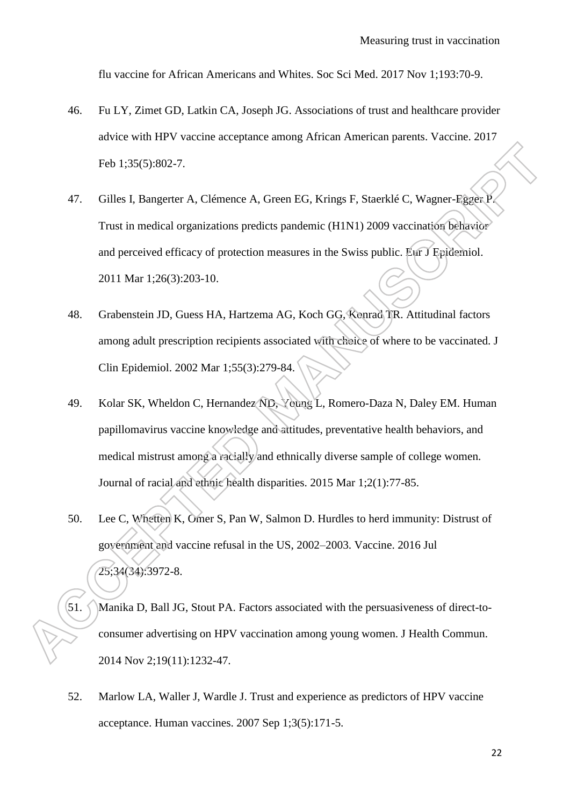flu vaccine for African Americans and Whites. Soc Sci Med. 2017 Nov 1;193:70-9.

- 46. Fu LY, Zimet GD, Latkin CA, Joseph JG. Associations of trust and healthcare provider advice with HPV vaccine acceptance among African American parents. Vaccine. 2017 Feb 1;35(5):802-7.
- 47. Gilles I, Bangerter A, Clémence A, Green EG, Krings F, Staerklé C, Wagner-Egger P. Trust in medical organizations predicts pandemic (H1N1) 2009 vaccination behavior and perceived efficacy of protection measures in the Swiss public. Eur J Epidemiol. 2011 Mar 1;26(3):203-10.
- 48. Grabenstein JD, Guess HA, Hartzema AG, Koch GG, Konrad TR. Attitudinal factors among adult prescription recipients associated with choice of where to be vaccinated. J Clin Epidemiol. 2002 Mar 1;55(3):279-84.
- 49. Kolar SK, Wheldon C, Hernandez ND, Young L, Romero-Daza N, Daley EM. Human papillomavirus vaccine knowledge and attitudes, preventative health behaviors, and medical mistrust among a racially and ethnically diverse sample of college women. Journal of racial and ethnic health disparities. 2015 Mar 1;2(1):77-85.
- 50. Lee C, Whetten K, Omer S, Pan W, Salmon D. Hurdles to herd immunity: Distrust of government and vaccine refusal in the US, 2002–2003. Vaccine. 2016 Jul 25;34(34):3972-8.
- 51. Manika D, Ball JG, Stout PA. Factors associated with the persuasiveness of direct-toconsumer advertising on HPV vaccination among young women. J Health Commun. 2014 Nov 2;19(11):1232-47.
- 52. Marlow LA, Waller J, Wardle J. Trust and experience as predictors of HPV vaccine acceptance. Human vaccines. 2007 Sep 1;3(5):171-5.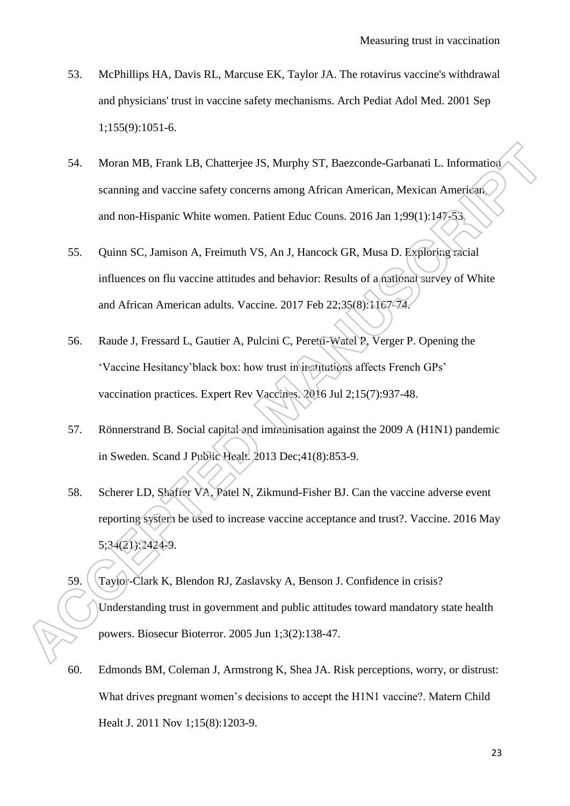- 53. McPhillips HA, Davis RL, Marcuse EK, Taylor JA. The rotavirus vaccine's withdrawal and physicians' trust in vaccine safety mechanisms. Arch Pediat Adol Med. 2001 Sep 1;155(9):1051-6.
- 54. Moran MB, Frank LB, Chatterjee JS, Murphy ST, Baezconde-Garbanati L. Information scanning and vaccine safety concerns among African American, Mexican American, and non-Hispanic White women. Patient Educ Couns. 2016 Jan 1;99(1):147-53.
- 55. Quinn SC, Jamison A, Freimuth VS, An J, Hancock GR, Musa D. Exploring racial influences on flu vaccine attitudes and behavior: Results of a national survey of White and African American adults. Vaccine. 2017 Feb 22;35(8):1167-74.
- 56. Raude J, Fressard L, Gautier A, Pulcini C, Peretti-Watel P, Verger P. Opening the "Vaccine Hesitancy"black box: how trust in institutions affects French GPs" vaccination practices. Expert Rev Vaccines. 2016 Jul 2;15(7):937-48.
- 57. Rönnerstrand B. Social capital and immunisation against the 2009 A (H1N1) pandemic in Sweden. Scand J Public Healt. 2013 Dec;41(8):853-9.
- 58. Scherer LD, Shaffer VA, Patel N, Zikmund-Fisher BJ. Can the vaccine adverse event reporting system be used to increase vaccine acceptance and trust?. Vaccine. 2016 May 5;34(21):2424-9.
- 59. Taylor-Clark K, Blendon RJ, Zaslavsky A, Benson J. Confidence in crisis? Understanding trust in government and public attitudes toward mandatory state health powers. Biosecur Bioterror. 2005 Jun 1;3(2):138-47.
- 60. Edmonds BM, Coleman J, Armstrong K, Shea JA. Risk perceptions, worry, or distrust: What drives pregnant women's decisions to accept the H1N1 vaccine?. Matern Child Healt J. 2011 Nov 1;15(8):1203-9.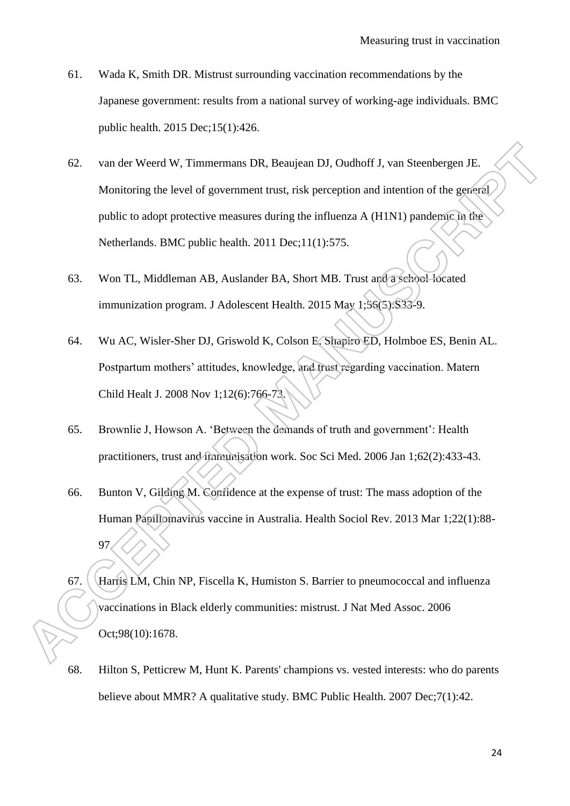- 61. Wada K, Smith DR. Mistrust surrounding vaccination recommendations by the Japanese government: results from a national survey of working-age individuals. BMC public health. 2015 Dec;15(1):426.
- 62. van der Weerd W, Timmermans DR, Beaujean DJ, Oudhoff J, van Steenbergen JE. Monitoring the level of government trust, risk perception and intention of the general public to adopt protective measures during the influenza A (H1N1) pandemic in the Netherlands. BMC public health. 2011 Dec;11(1):575.
- 63. Won TL, Middleman AB, Auslander BA, Short MB. Trust and a school-located immunization program. J Adolescent Health. 2015 May 1;56(5):S33-9.
- 64. Wu AC, Wisler-Sher DJ, Griswold K, Colson E, Shapiro ED, Holmboe ES, Benin AL. Postpartum mothers' attitudes, knowledge, and trust regarding vaccination. Matern Child Healt J. 2008 Nov 1;12(6):766-73.
- 65. Brownlie J, Howson A. "Between the demands of truth and government": Health practitioners, trust and immunisation work. Soc Sci Med. 2006 Jan 1;62(2):433-43.
- 66. Bunton V, Gilding M. Confidence at the expense of trust: The mass adoption of the Human Papillomavirus vaccine in Australia. Health Sociol Rev. 2013 Mar 1;22(1):88- 97.
- 67. Harris LM, Chin NP, Fiscella K, Humiston S. Barrier to pneumococcal and influenza vaccinations in Black elderly communities: mistrust. J Nat Med Assoc. 2006 Oct;98(10):1678.
- 68. Hilton S, Petticrew M, Hunt K. Parents' champions vs. vested interests: who do parents believe about MMR? A qualitative study. BMC Public Health. 2007 Dec;7(1):42.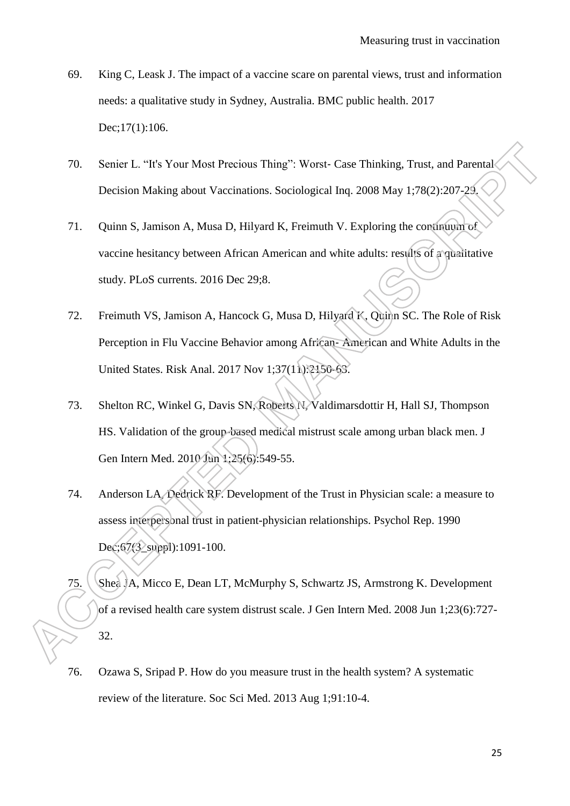- 69. King C, Leask J. The impact of a vaccine scare on parental views, trust and information needs: a qualitative study in Sydney, Australia. BMC public health. 2017 Dec;17(1):106.
- 70. Senier L. "It's Your Most Precious Thing": Worst- Case Thinking, Trust, and Parental Decision Making about Vaccinations. Sociological Inq. 2008 May 1;78(2):207-29.
- 71. Quinn S, Jamison A, Musa D, Hilyard K, Freimuth V. Exploring the continuum of vaccine hesitancy between African American and white adults: results of a qualitative study. PLoS currents. 2016 Dec 29;8.
- 72. Freimuth VS, Jamison A, Hancock G, Musa D, Hilyard K, Quinn SC. The Role of Risk Perception in Flu Vaccine Behavior among African‐ American and White Adults in the United States. Risk Anal. 2017 Nov 1;37(11):2150-63.
- 73. Shelton RC, Winkel G, Davis SN, Roberts N, Valdimarsdottir H, Hall SJ, Thompson HS. Validation of the group-based medical mistrust scale among urban black men. J Gen Intern Med. 2010 Jun 1;25(6):549-55.
- 74. Anderson LA, Dedrick RF. Development of the Trust in Physician scale: a measure to assess interpersonal trust in patient-physician relationships. Psychol Rep. 1990 Dec;67(3\_suppl):1091-100.
- 75. Shea JA, Micco E, Dean LT, McMurphy S, Schwartz JS, Armstrong K. Development of a revised health care system distrust scale. J Gen Intern Med. 2008 Jun 1;23(6):727- 32.
- 76. Ozawa S, Sripad P. How do you measure trust in the health system? A systematic review of the literature. Soc Sci Med. 2013 Aug 1;91:10-4.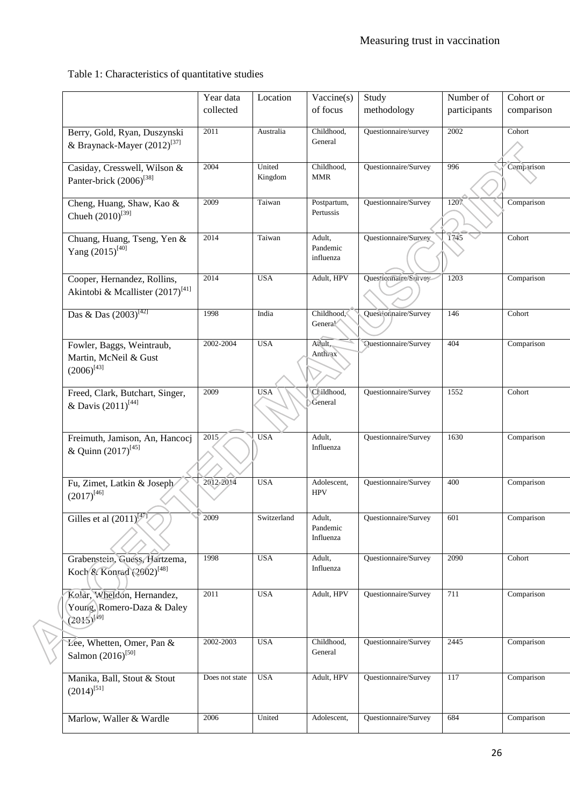Table 1: Characteristics of quantitative studies

|  |                                                                             | Year data<br>collected | Location          | Vaccine(s)<br>of focus          | Study<br>methodology | Number of<br>participants | Cohort or<br>comparison |
|--|-----------------------------------------------------------------------------|------------------------|-------------------|---------------------------------|----------------------|---------------------------|-------------------------|
|  |                                                                             |                        |                   |                                 |                      |                           |                         |
|  | Berry, Gold, Ryan, Duszynski<br>& Braynack-Mayer (2012) <sup>[37]</sup>     | 2011                   | Australia         | Childhood,<br>General           | Questionnaire/survey | 2002                      | Cohort                  |
|  | Casiday, Cresswell, Wilson &<br>Panter-brick (2006) <sup>[38]</sup>         | 2004                   | United<br>Kingdom | Childhood,<br><b>MMR</b>        | Questionnaire/Survey | 996                       | Comparison              |
|  | Cheng, Huang, Shaw, Kao &<br>Chueh $(2010)^{[39]}$                          | 2009                   | Taiwan            | Postpartum,<br>Pertussis        | Questionnaire/Survey | 1207                      | Comparison              |
|  | Chuang, Huang, Tseng, Yen &<br>Yang $(2015)^{[40]}$                         | 2014                   | Taiwan            | Adult,<br>Pandemic<br>influenza | Questionnaire/Survey | 1745                      | Cohort                  |
|  | Cooper, Hernandez, Rollins,<br>Akintobi & Mcallister (2017) <sup>[41]</sup> | 2014                   | <b>USA</b>        | Adult, HPV                      | Questionnaire/Survey | 1203                      | Comparison              |
|  | Das & Das $(2003)^{[42]}$                                                   | 1998                   | India             | Childhood,<br>Genera!           | Questionnaire/Survey | 146                       | Cohort                  |
|  | Fowler, Baggs, Weintraub,<br>Martin, McNeil & Gust<br>$(2006)^{[43]}$       | 2002-2004              | <b>USA</b>        | Adult,<br>Anthrax               | Questionnaire/Survey | 404                       | Comparison              |
|  | Freed, Clark, Butchart, Singer,<br>& Davis $(2011)^{[44]}$                  | 2009                   | <b>USA</b>        | Cl ildhood,<br>General          | Questionnaire/Survey | 1552                      | Cohort                  |
|  | Freimuth, Jamison, An, Hancocj<br>& Quinn (2017) <sup>[45]</sup>            | 2015                   | <b>USA</b>        | Adult,<br>Influenza             | Questionnaire/Survey | 1630                      | Comparison              |
|  | Fu, Zimet, Latkin & Joseph<br>$(2017)^{[46]}$                               | 2012-2014              | <b>USA</b>        | Adolescent,<br><b>HPV</b>       | Questionnaire/Survey | 400                       | Comparison              |
|  | Gilles et al $(2011)^{147}$                                                 | 2009                   | Switzerland       | Adult,<br>Pandemic<br>Influenza | Questionnaire/Survey | 601                       | Comparison              |
|  | Grabenstein, Guess, Hartzema,<br>Koch & Konrad (2002) <sup>[48]</sup>       | 1998                   | <b>USA</b>        | Adult,<br>Influenza             | Questionnaire/Survey | 2090                      | Cohort                  |
|  | Kolar, Wheldon, Hernandez,<br>Young, Romero-Daza & Daley<br>$(2015)^{[49]}$ | 2011                   | <b>USA</b>        | Adult, HPV                      | Questionnaire/Survey | 711                       | Comparison              |
|  | Lee, Whetten, Omer, Pan &<br>Salmon $(2016)^{[50]}$                         | 2002-2003              | <b>USA</b>        | Childhood,<br>General           | Questionnaire/Survey | 2445                      | Comparison              |
|  | Manika, Ball, Stout & Stout<br>$(2014)^{[51]}$                              | Does not state         | <b>USA</b>        | Adult, HPV                      | Questionnaire/Survey | 117                       | Comparison              |
|  | Marlow, Waller & Wardle                                                     | 2006                   | United            | Adolescent,                     | Questionnaire/Survey | 684                       | Comparison              |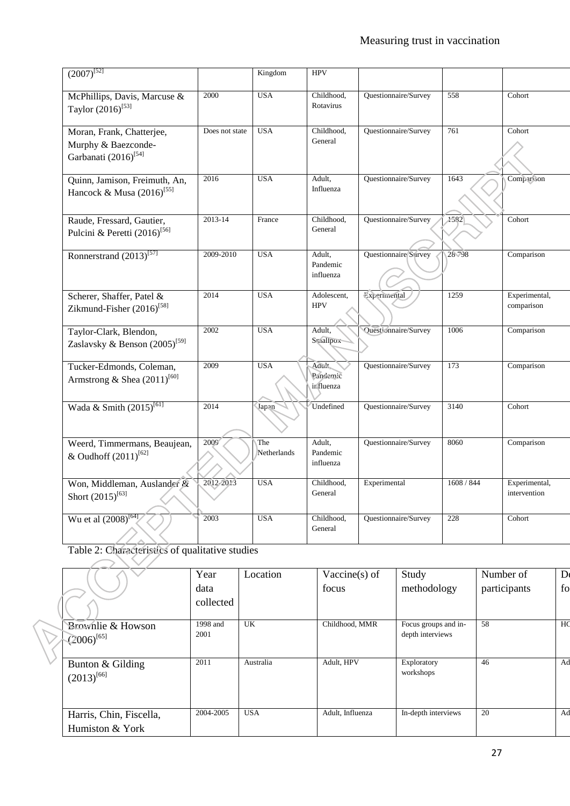| $(2007)^{52}$                                                                        |                | Kingdom            | <b>HPV</b>                      |                      |               |                               |
|--------------------------------------------------------------------------------------|----------------|--------------------|---------------------------------|----------------------|---------------|-------------------------------|
| McPhillips, Davis, Marcuse &<br>Taylor $(2016)^{53}$                                 | 2000           | <b>USA</b>         | Childhood,<br>Rotavirus         | Questionnaire/Survey | 558           | Cohort                        |
| Moran, Frank, Chatterjee,<br>Murphy & Baezconde-<br>Garbanati (2016) <sup>[54]</sup> | Does not state | <b>USA</b>         | Childhood,<br>General           | Questionnaire/Survey | 761           | Cohort                        |
| Quinn, Jamison, Freimuth, An,<br>Hancock & Musa (2016) <sup>[55]</sup>               | 2016           | <b>USA</b>         | Adult,<br>Influenza             | Questionnaire/Survey | 1643          | Comparison                    |
| Raude, Fressard, Gautier,<br>Pulcini & Peretti $(2016)^{56}$                         | 2013-14        | France             | Childhood,<br>General           | Questionnaire/Survey | $\sqrt{1582}$ | Cohort                        |
| Ronnerstrand $(2013)^{57}$                                                           | 2009-2010      | <b>USA</b>         | Adult,<br>Pandemic<br>influenza | Questionnaire Survey | 28798         | Comparison                    |
| Scherer, Shaffer, Patel &<br>Zikmund-Fisher $(2016)^{58}$                            | 2014           | <b>USA</b>         | Adolescent,<br><b>HPV</b>       | Experimental         | 1259          | Experimental,<br>comparison   |
| Taylor-Clark, Blendon,<br>Zaslavsky & Benson (2005) <sup>[59]</sup>                  | 2002           | <b>USA</b>         | Adult,<br>Srnallpox             | Questionnaire/Survey | 1006          | Comparison                    |
| Tucker-Edmonds, Coleman,<br>Armstrong & Shea $(2011)^{[60]}$                         | 2009           | <b>USA</b>         | Adult,<br>Pandemic<br>influenza | Questionnaire/Survey | 173           | Comparison                    |
| Wada & Smith (2015) <sup>[61]</sup>                                                  | 2014           | Japan              | Undefined                       | Questionnaire/Survey | 3140          | Cohort                        |
| Weerd, Timmermans, Beaujean,<br>& Oudhoff (2011) <sup>[62]</sup>                     | 2009           | The<br>Netherlands | Adult,<br>Pandemic<br>influenza | Questionnaire/Survey | 8060          | Comparison                    |
| Won, Middleman, Auslander &<br>Short $(2015)^{[63]}$                                 | 2012/2013      | <b>USA</b>         | Childhood,<br>General           | Experimental         | 1608 / 844    | Experimental,<br>intervention |
| Wu et al $(2008)^{[64]}$                                                             | 2003           | <b>USA</b>         | Childhood,<br>General           | Questionnaire/Survey | 228           | Cohort                        |

Table 2: Characteristics of qualitative studies

|                         | Year      | Location   | Vaccine $(s)$ of | Study                    | Number of    | D <sub>0</sub> |
|-------------------------|-----------|------------|------------------|--------------------------|--------------|----------------|
|                         | data      |            | focus            | methodology              | participants | fo             |
|                         | collected |            |                  |                          |              |                |
| Brownlie & Howson       | 1998 and  | <b>UK</b>  | Childhood, MMR   | Focus groups and in-     | 58           | HC             |
| $(2006)^{[65]}$         | 2001      |            |                  | depth interviews         |              |                |
|                         |           |            |                  |                          |              |                |
| Bunton & Gilding        | 2011      | Australia  | Adult, HPV       | Exploratory<br>workshops | 46           | Ad             |
| $(2013)^{[66]}$         |           |            |                  |                          |              |                |
|                         |           |            |                  |                          |              |                |
| Harris, Chin, Fiscella, | 2004-2005 | <b>USA</b> | Adult, Influenza | In-depth interviews      | 20           | Ad             |
| Humiston & York         |           |            |                  |                          |              |                |
|                         |           |            |                  |                          |              |                |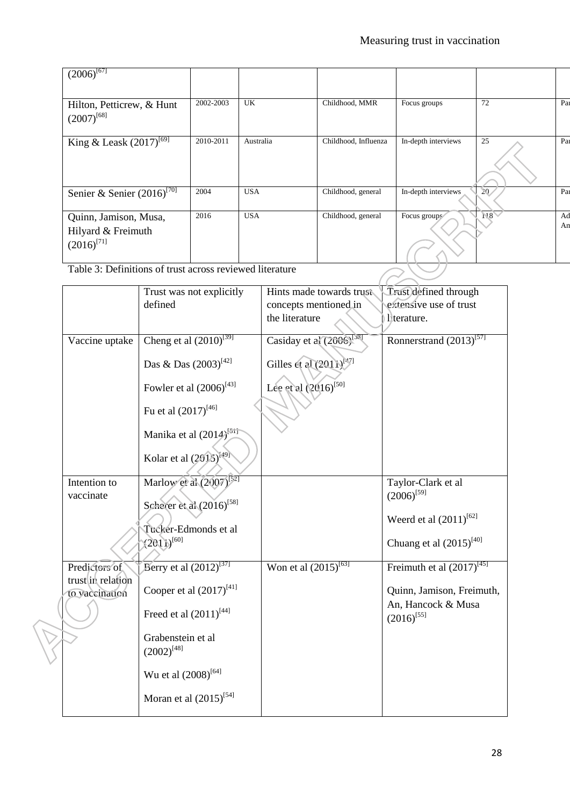| $(2006)^{[67]}$                              |           |            |                      |                     |                 |     |
|----------------------------------------------|-----------|------------|----------------------|---------------------|-----------------|-----|
|                                              |           |            |                      |                     |                 |     |
| Hilton, Petticrew, & Hunt<br>$(2007)^{[68]}$ | 2002-2003 | UK         | Childhood, MMR       | Focus groups        | 72              | Par |
| King & Leask $(2017)^{[69]}$                 | 2010-2011 | Australia  | Childhood, Influenza | In-depth interviews | 25              | Par |
|                                              |           |            |                      |                     |                 |     |
| Senier & Senier $(2016)^{[70]}$              | 2004      | <b>USA</b> | Childhood, general   | In-depth interviews | 20 <sub>2</sub> | Par |
| Quinn, Jamison, Musa,                        | 2016      | <b>USA</b> | Childhood, general   | Focus groups        | $\overline{N8}$ | Ad  |
|                                              |           |            |                      |                     |                 | An  |
| Hilyard & Freimuth                           |           |            |                      |                     |                 |     |
| $(2016)^{[71]}$                              |           |            |                      |                     |                 |     |
|                                              |           |            |                      |                     |                 |     |

Table 3: Definitions of trust across reviewed literature

|                                    | Trust was not explicitly              | Hints made towards trust            | Trust defined through                 |
|------------------------------------|---------------------------------------|-------------------------------------|---------------------------------------|
|                                    | defined                               | concepts mentioned in               | extensive use of trust                |
|                                    |                                       | the literature                      | literature.                           |
| Vaccine uptake                     | Cheng et al $(2010)^{[39]}$           | Casiday et al (2006) <sup>[38</sup> | Ronnerstrand $\overline{(2013)^{57}}$ |
|                                    | Das & Das $(2003)^{[42]}$             | Gilles et al $(2011)^{[47]}$        |                                       |
|                                    | Fowler et al $(2006)^{[43]}$          | Lee et al (2016) <sup>[50]</sup>    |                                       |
|                                    | Fu et al $(2017)^{[46]}$              |                                     |                                       |
|                                    | Manika et al (2014) <sup>[51]</sup>   |                                     |                                       |
|                                    | Kolar et al (2015) <sup>[49]</sup>    |                                     |                                       |
| Intention to                       | Marlow et al (2007) <sup>[52]</sup>   |                                     | Taylor-Clark et al                    |
| vaccinate                          | Scherer et al (2016) <sup>[58]</sup>  |                                     | $(2006)^{[59]}$                       |
|                                    | Tucker-Edmonds et al                  |                                     | Weerd et al $(2011)^{[62]}$           |
|                                    | $(2011)^{[60]}$                       |                                     | Chuang et al $(2015)^{[40]}$          |
| Predictors of<br>trust in relation | Berry et al $(2012)^{[37]}$           | Won et al $(2015)^{[63]}$           | Freimuth et al $(2017)^{[45]}$        |
| to vaccination                     | Cooper et al $(2017)^{[41]}$          |                                     | Quinn, Jamison, Freimuth,             |
|                                    | Freed et al $(2011)^{[44]}$           |                                     | An, Hancock & Musa<br>$(2016)^{[55]}$ |
|                                    | Grabenstein et al<br>$(2002)^{[48]}$  |                                     |                                       |
|                                    | Wu et al $(2008)^{\left[ 64\right] }$ |                                     |                                       |
|                                    | Moran et al $(2015)^{[54]}$           |                                     |                                       |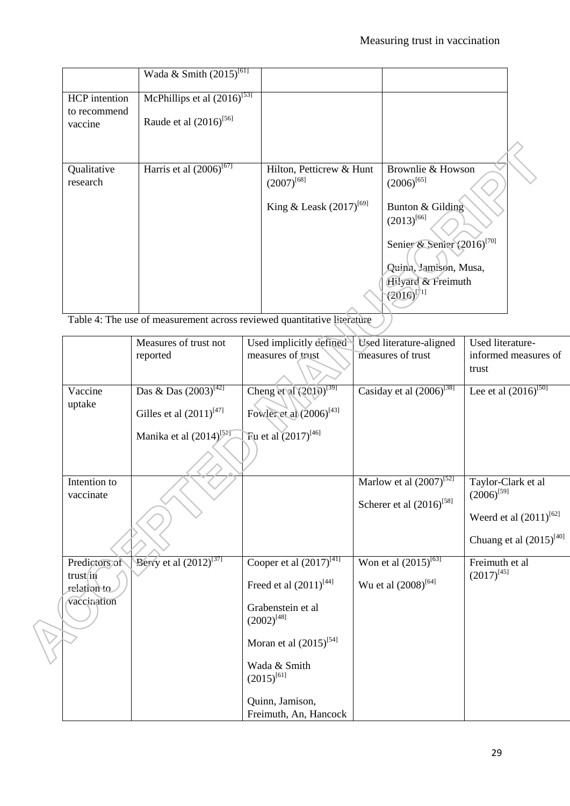|               | Wada & Smith $(2015)^{[61]}$                |                              |                                        |  |
|---------------|---------------------------------------------|------------------------------|----------------------------------------|--|
| HCP intention | McPhillips et al $(2\overline{016})^{[53]}$ |                              |                                        |  |
| to recommend  |                                             |                              |                                        |  |
| vaccine       | Raude et al $(2016)^{[56]}$                 |                              |                                        |  |
|               |                                             |                              |                                        |  |
|               |                                             |                              |                                        |  |
| Qualitative   | Harris et al $(2006)^{[67]}$                | Hilton, Petticrew & Hunt     | Brownlie & Howson                      |  |
| research      |                                             | $(2007)^{[68]}$              | $(2006)^{[65]}$                        |  |
|               |                                             | King & Leask $(2017)^{[69]}$ | Bunton & Gilding                       |  |
|               |                                             |                              | $(2013)^{[66]}$                        |  |
|               |                                             |                              |                                        |  |
|               |                                             |                              | Senier & Senier (2016) <sup>[70]</sup> |  |
|               |                                             |                              |                                        |  |
|               |                                             |                              | Quinn, Jamison, Musa,                  |  |
|               |                                             |                              | Hilyard & Freimuth                     |  |
|               |                                             |                              | $(2016)^{[71]}$                        |  |
|               |                                             |                              |                                        |  |

Table 4: The use of measurement across reviewed quantitative literature

|                        | Measures of trust not          | Used implicitly defined                 | Used literature-aligned       | Used literature-             |
|------------------------|--------------------------------|-----------------------------------------|-------------------------------|------------------------------|
|                        | reported                       | measures of trust                       | measures of trust             | informed measures of         |
|                        |                                |                                         |                               | trust                        |
| Vaccine                | Das & Das $(2003)^{[42]}$      | Cheng et al (2010) <sup>[39]</sup>      | Casiday et al $(2006)^{[38]}$ | Lee et al $(2016)^{[50]}$    |
| uptake                 | Gilles et al $(2011)^{[47]}$   | Fowler et al $(2006)^{[43]}$            |                               |                              |
|                        | Manika et al $(2014)^{5^{17}}$ | Fu et al $(2017)^{[46]}$                |                               |                              |
|                        |                                |                                         |                               |                              |
| Intention to           |                                |                                         | Marlow et al $(2007)^{52}$    | Taylor-Clark et al           |
| vaccinate              |                                |                                         | Scherer et al $(2016)^{58}$   | $(2006)^{[59]}$              |
|                        |                                |                                         |                               | Weerd et al $(2011)^{[62]}$  |
|                        |                                |                                         |                               | Chuang et al $(2015)^{[40]}$ |
| Predictors of          | Berry et al $(2012)^{[37]}$    | Cooper et al $\overline{(2017)^{[41]}}$ | Won et al $(2015)^{[63]}$     | Freimuth et al               |
| trustin<br>relation to |                                | Freed et al $(2011)^{[44]}$             | Wu et al $(2008)^{[64]}$      | $(2017)^{[45]}$              |
| vaccination            |                                | Grabenstein et al<br>$(2002)^{[48]}$    |                               |                              |
|                        |                                | Moran et al $(2015)^{[54]}$             |                               |                              |
|                        |                                | Wada & Smith<br>$(2015)^{[61]}$         |                               |                              |
|                        |                                | Quinn, Jamison,                         |                               |                              |
|                        |                                | Freimuth, An, Hancock                   |                               |                              |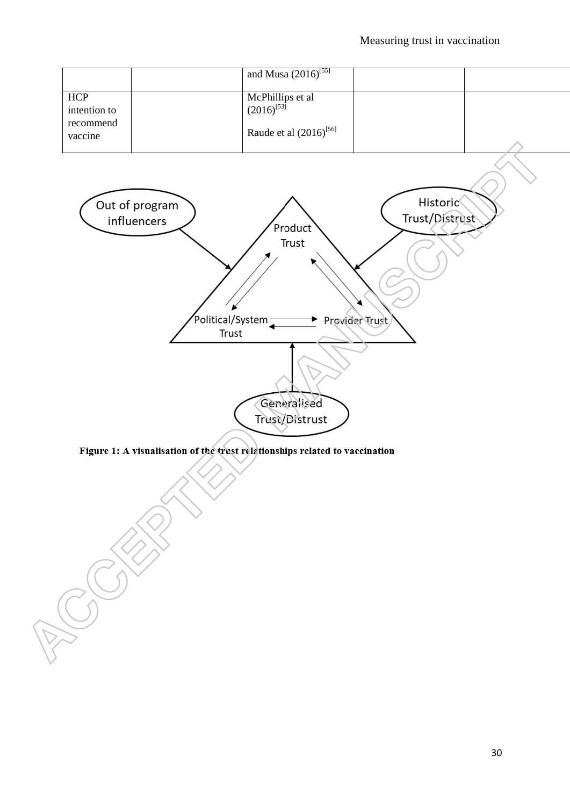